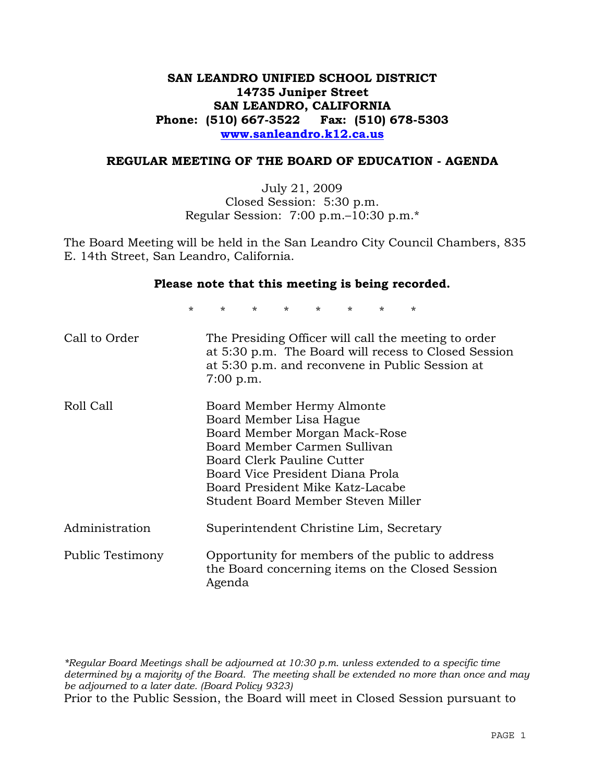# **SAN LEANDRO UNIFIED SCHOOL DISTRICT 14735 Juniper Street SAN LEANDRO, CALIFORNIA Phone: (510) 667-3522 Fax: (510) 678-5303 www.sanleandro.k12.ca.us**

## **REGULAR MEETING OF THE BOARD OF EDUCATION - AGENDA**

July 21, 2009 Closed Session: 5:30 p.m. Regular Session: 7:00 p.m.–10:30 p.m.\*

The Board Meeting will be held in the San Leandro City Council Chambers, 835 E. 14th Street, San Leandro, California.

#### **Please note that this meeting is being recorded.**

\* \* \* \* \* \* \* \*

| Call to Order    | The Presiding Officer will call the meeting to order<br>at 5:30 p.m. The Board will recess to Closed Session<br>at 5:30 p.m. and reconvene in Public Session at<br>7:00 p.m.                                                                                       |
|------------------|--------------------------------------------------------------------------------------------------------------------------------------------------------------------------------------------------------------------------------------------------------------------|
| Roll Call        | Board Member Hermy Almonte<br>Board Member Lisa Hague<br>Board Member Morgan Mack-Rose<br>Board Member Carmen Sullivan<br>Board Clerk Pauline Cutter<br>Board Vice President Diana Prola<br>Board President Mike Katz-Lacabe<br>Student Board Member Steven Miller |
| Administration   | Superintendent Christine Lim, Secretary                                                                                                                                                                                                                            |
| Public Testimony | Opportunity for members of the public to address<br>the Board concerning items on the Closed Session<br>Agenda                                                                                                                                                     |

*\*Regular Board Meetings shall be adjourned at 10:30 p.m. unless extended to a specific time determined by a majority of the Board. The meeting shall be extended no more than once and may be adjourned to a later date. (Board Policy 9323)*  Prior to the Public Session, the Board will meet in Closed Session pursuant to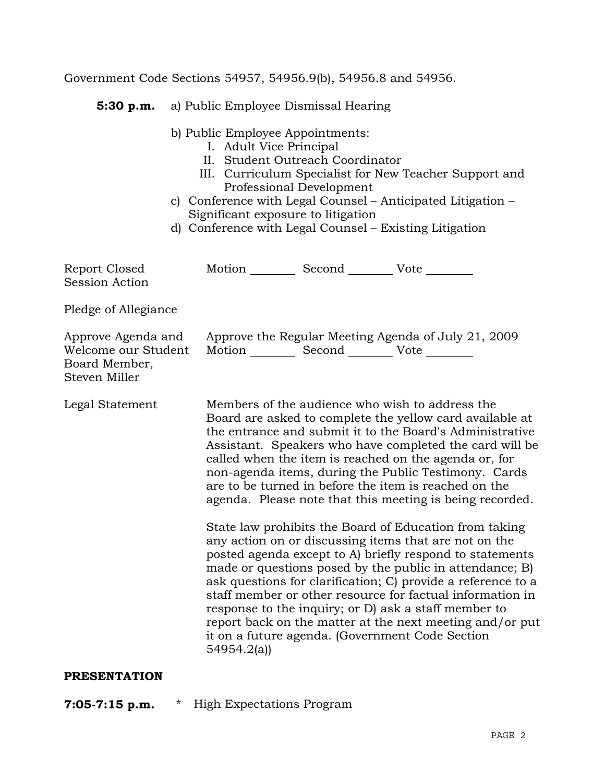Government Code Sections 54957, 54956.9(b), 54956.8 and 54956.

 **5:30 p.m.** a) Public Employee Dismissal Hearing

b) Public Employee Appointments:

- I. Adult Vice Principal
- II. Student Outreach Coordinator
- III. Curriculum Specialist for New Teacher Support and Professional Development
- c) Conference with Legal Counsel Anticipated Litigation Significant exposure to litigation
- d) Conference with Legal Counsel Existing Litigation

Report Closed Motion Second Vote Session Action Pledge of Allegiance Approve Agenda and Approve the Regular Meeting Agenda of July 21, 2009 Welcome our Student Motion Second Vote Board Member, Steven Miller Legal Statement Members of the audience who wish to address the Board are asked to complete the yellow card available at the entrance and submit it to the Board's Administrative Assistant. Speakers who have completed the card will be called when the item is reached on the agenda or, for non-agenda items, during the Public Testimony. Cards are to be turned in before the item is reached on the agenda. Please note that this meeting is being recorded. State law prohibits the Board of Education from taking any action on or discussing items that are not on the posted agenda except to A) briefly respond to statements made or questions posed by the public in attendance; B) ask questions for clarification; C) provide a reference to a staff member or other resource for factual information in response to the inquiry; or D) ask a staff member to report back on the matter at the next meeting and/or put it on a future agenda. (Government Code Section 54954.2(a)) **PRESENTATION** 

**7:05-7:15 p.m.** \* High Expectations Program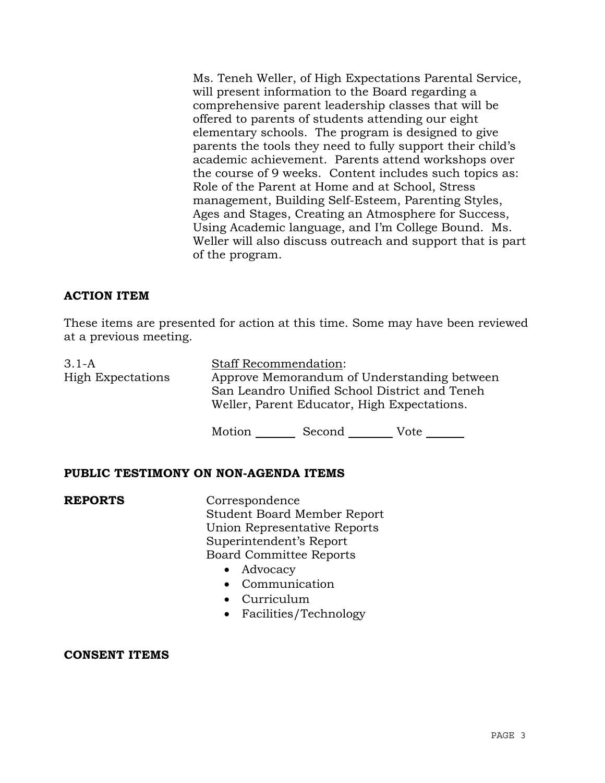Ms. Teneh Weller, of High Expectations Parental Service, will present information to the Board regarding a comprehensive parent leadership classes that will be offered to parents of students attending our eight elementary schools. The program is designed to give parents the tools they need to fully support their child's academic achievement. Parents attend workshops over the course of 9 weeks. Content includes such topics as: Role of the Parent at Home and at School, Stress management, Building Self-Esteem, Parenting Styles, Ages and Stages, Creating an Atmosphere for Success, Using Academic language, and I'm College Bound. Ms. Weller will also discuss outreach and support that is part of the program.

# **ACTION ITEM**

These items are presented for action at this time. Some may have been reviewed at a previous meeting.

| $3.1-A$<br><b>High Expectations</b> | <b>Staff Recommendation:</b><br>Approve Memorandum of Understanding between<br>San Leandro Unified School District and Teneh |
|-------------------------------------|------------------------------------------------------------------------------------------------------------------------------|
|                                     | Weller, Parent Educator, High Expectations.                                                                                  |

Motion Second Vote

## **PUBLIC TESTIMONY ON NON-AGENDA ITEMS**

**REPORTS** Correspondence Student Board Member Report Union Representative Reports Superintendent's Report Board Committee Reports

- Advocacy
- Communication
- Curriculum
- Facilities/Technology

## **CONSENT ITEMS**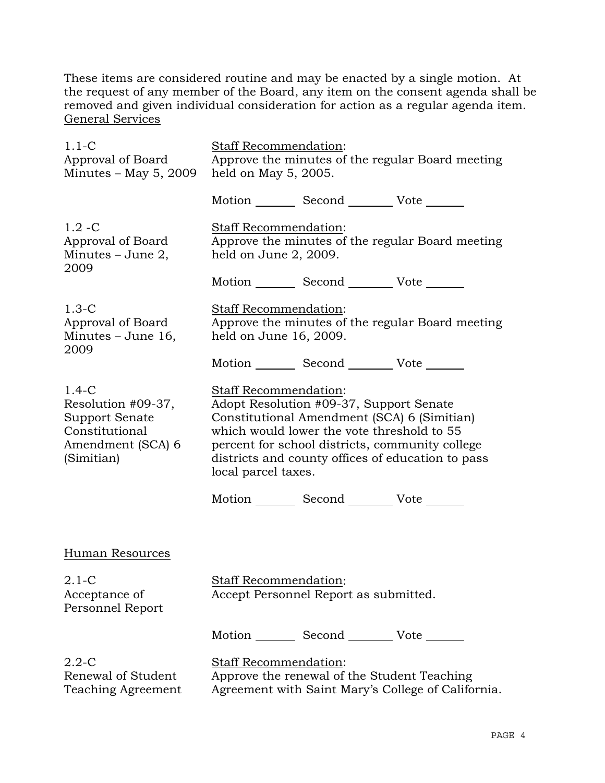These items are considered routine and may be enacted by a single motion. At the request of any member of the Board, any item on the consent agenda shall be removed and given individual consideration for action as a regular agenda item. General Services

| $1.1-C$<br>Approval of Board<br>Minutes $-$ May 5, 2009                                              | Staff Recommendation:<br>Approve the minutes of the regular Board meeting<br>held on May 5, 2005.                                                                                                                                                                                            |                                                 |                                                    |
|------------------------------------------------------------------------------------------------------|----------------------------------------------------------------------------------------------------------------------------------------------------------------------------------------------------------------------------------------------------------------------------------------------|-------------------------------------------------|----------------------------------------------------|
|                                                                                                      |                                                                                                                                                                                                                                                                                              | Motion _________ Second __________ Vote _______ |                                                    |
| $1.2 - C$<br>Approval of Board<br>Minutes $-$ June 2,<br>2009                                        | Staff Recommendation:<br>held on June 2, 2009.                                                                                                                                                                                                                                               |                                                 | Approve the minutes of the regular Board meeting   |
|                                                                                                      |                                                                                                                                                                                                                                                                                              | Motion _________ Second __________ Vote _______ |                                                    |
| $1.3-C$<br>Approval of Board<br>Minutes $-$ June 16,<br>2009                                         | Staff Recommendation:<br>Approve the minutes of the regular Board meeting<br>held on June 16, 2009.                                                                                                                                                                                          |                                                 |                                                    |
|                                                                                                      |                                                                                                                                                                                                                                                                                              | Motion _________ Second __________ Vote _______ |                                                    |
| $1.4-C$<br>Resolution #09-37,<br>Support Senate<br>Constitutional<br>Amendment (SCA) 6<br>(Simitian) | Staff Recommendation:<br>Adopt Resolution #09-37, Support Senate<br>Constitutional Amendment (SCA) 6 (Simitian)<br>which would lower the vote threshold to 55<br>percent for school districts, community college<br>districts and county offices of education to pass<br>local parcel taxes. |                                                 |                                                    |
|                                                                                                      |                                                                                                                                                                                                                                                                                              | Motion _________ Second __________ Vote _______ |                                                    |
| Human Resources                                                                                      |                                                                                                                                                                                                                                                                                              |                                                 |                                                    |
| $2.1 - C$<br>Acceptance of<br>Personnel Report                                                       | Staff Recommendation:                                                                                                                                                                                                                                                                        | Accept Personnel Report as submitted.           |                                                    |
|                                                                                                      |                                                                                                                                                                                                                                                                                              | Motion _________ Second __________ Vote _______ |                                                    |
| $2.2 - C$<br>Renewal of Student<br>Teaching Agreement                                                | Staff Recommendation:                                                                                                                                                                                                                                                                        | Approve the renewal of the Student Teaching     | Agreement with Saint Mary's College of California. |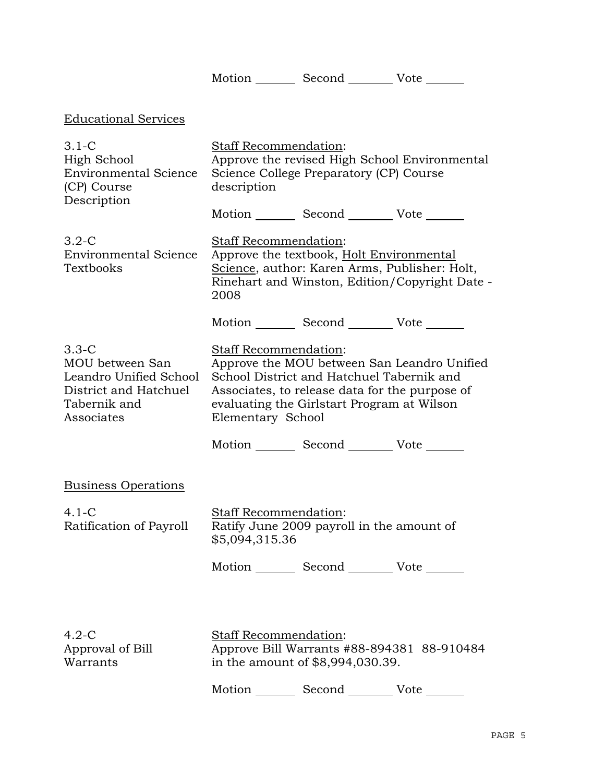Motion \_\_\_\_\_\_\_\_ Second \_\_\_\_\_\_\_\_\_ Vote \_\_\_\_\_\_\_

| <b>Educational Services</b>                                                                                   |                                                |                                                                                                                                           |                                                |
|---------------------------------------------------------------------------------------------------------------|------------------------------------------------|-------------------------------------------------------------------------------------------------------------------------------------------|------------------------------------------------|
| $3.1-C$<br>High School<br><b>Environmental Science</b><br>(CP) Course<br>Description                          | <b>Staff Recommendation:</b><br>description    | Science College Preparatory (CP) Course                                                                                                   | Approve the revised High School Environmental  |
|                                                                                                               |                                                | Motion _________ Second __________ Vote _______                                                                                           |                                                |
| $3.2 - C$<br><b>Environmental Science</b><br>Textbooks                                                        | <b>Staff Recommendation:</b><br>2008           | Approve the textbook, Holt Environmental<br>Science, author: Karen Arms, Publisher: Holt,                                                 | Rinehart and Winston, Edition/Copyright Date - |
|                                                                                                               |                                                | Motion _________ Second __________ Vote _______                                                                                           |                                                |
| $3.3 - C$<br>MOU between San<br>Leandro Unified School<br>District and Hatchuel<br>Tabernik and<br>Associates | Staff Recommendation:<br>Elementary School     | School District and Hatchuel Tabernik and<br>Associates, to release data for the purpose of<br>evaluating the Girlstart Program at Wilson | Approve the MOU between San Leandro Unified    |
|                                                                                                               |                                                | Motion _________ Second __________ Vote _______                                                                                           |                                                |
| <b>Business Operations</b>                                                                                    |                                                |                                                                                                                                           |                                                |
| $4.1-C$<br>Ratification of Payroll                                                                            | <b>Staff Recommendation:</b><br>\$5,094,315.36 | Ratify June 2009 payroll in the amount of                                                                                                 |                                                |
|                                                                                                               |                                                | Motion _________ Second __________ Vote _______                                                                                           |                                                |
|                                                                                                               |                                                |                                                                                                                                           |                                                |
| $4.2-C$<br>Approval of Bill<br>Warrants                                                                       | Staff Recommendation:                          | in the amount of \$8,994,030.39.                                                                                                          | Approve Bill Warrants #88-894381 88-910484     |
|                                                                                                               |                                                | Motion _________ Second __________ Vote _______                                                                                           |                                                |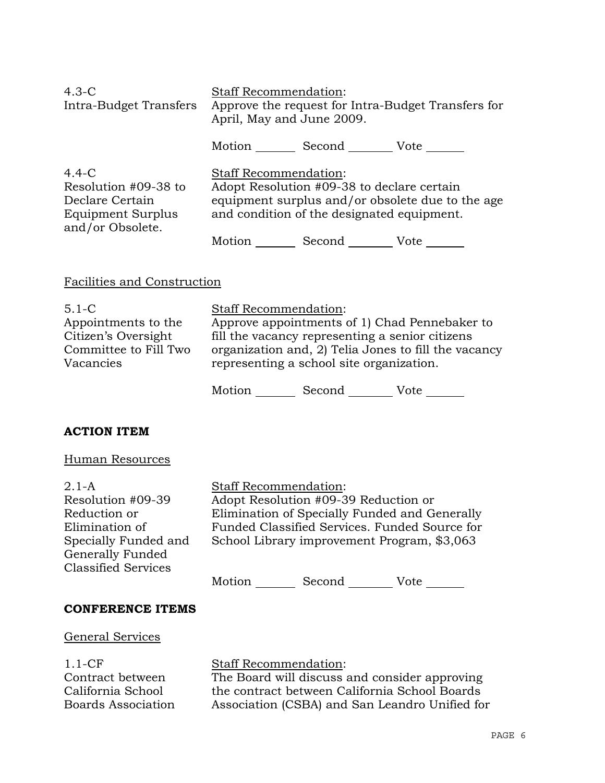| $4.3-C$<br>Intra-Budget Transfers                                                                    | <b>Staff Recommendation:</b><br>Approve the request for Intra-Budget Transfers for<br>April, May and June 2009.                                                              |               |      |
|------------------------------------------------------------------------------------------------------|------------------------------------------------------------------------------------------------------------------------------------------------------------------------------|---------------|------|
|                                                                                                      | Motion                                                                                                                                                                       | Second Vote   |      |
| $4.4 - C$<br>Resolution #09-38 to<br>Declare Certain<br><b>Equipment Surplus</b><br>and/or Obsolete. | <b>Staff Recommendation:</b><br>Adopt Resolution #09-38 to declare certain<br>equipment surplus and/or obsolete due to the age<br>and condition of the designated equipment. |               |      |
|                                                                                                      |                                                                                                                                                                              | Motion Second | Vote |

# Facilities and Construction

| $5.1 - C$             | <b>Staff Recommendation:</b>                         |
|-----------------------|------------------------------------------------------|
| Appointments to the   | Approve appointments of 1) Chad Pennebaker to        |
| Citizen's Oversight   | fill the vacancy representing a senior citizens      |
| Committee to Fill Two | organization and, 2) Telia Jones to fill the vacancy |
| Vacancies             | representing a school site organization.             |

Motion Second Vote \_\_\_\_\_\_

## **ACTION ITEM**

# Human Resources

| $2.1-A$                    | <b>Staff Recommendation:</b>                  |  |  |
|----------------------------|-----------------------------------------------|--|--|
| Resolution #09-39          | Adopt Resolution #09-39 Reduction or          |  |  |
| Reduction or               | Elimination of Specially Funded and Generally |  |  |
| Elimination of             | Funded Classified Services. Funded Source for |  |  |
| Specially Funded and       | School Library improvement Program, \$3,063   |  |  |
| Generally Funded           |                                               |  |  |
| <b>Classified Services</b> |                                               |  |  |
|                            | Motion<br>Second<br>Vote                      |  |  |

#### **CONFERENCE ITEMS**

#### General Services

1.1-CF Contract between California School Boards Association

# Staff Recommendation: The Board will discuss and consider approving the contract between California School Boards Association (CSBA) and San Leandro Unified for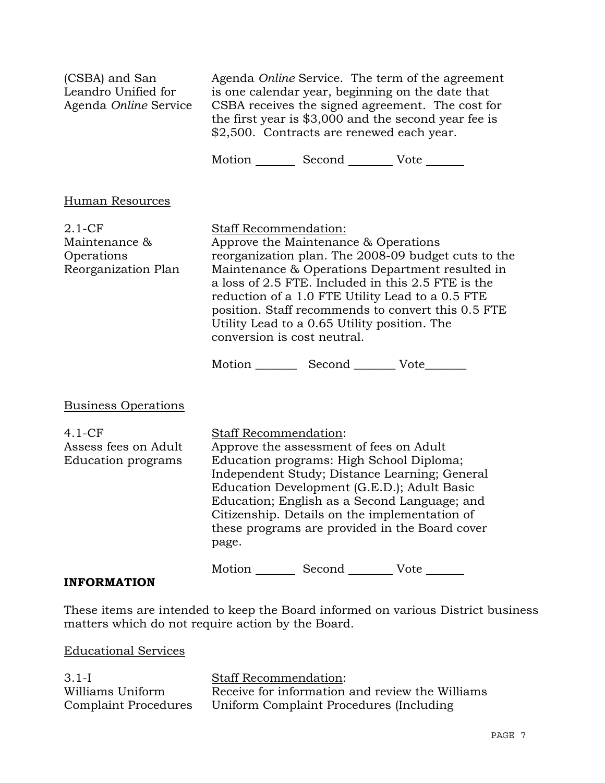| (CSBA) and San<br>Leandro Unified for<br>Agenda Online Service   | Agenda Online Service. The term of the agreement<br>is one calendar year, beginning on the date that<br>CSBA receives the signed agreement. The cost for<br>the first year is \$3,000 and the second year fee is<br>\$2,500. Contracts are renewed each year.                                                                                                            |                                                                                      |                                                                                                                                                                                                                                                                        |
|------------------------------------------------------------------|--------------------------------------------------------------------------------------------------------------------------------------------------------------------------------------------------------------------------------------------------------------------------------------------------------------------------------------------------------------------------|--------------------------------------------------------------------------------------|------------------------------------------------------------------------------------------------------------------------------------------------------------------------------------------------------------------------------------------------------------------------|
|                                                                  |                                                                                                                                                                                                                                                                                                                                                                          | Motion _________ Second ___________ Vote _______                                     |                                                                                                                                                                                                                                                                        |
| Human Resources                                                  |                                                                                                                                                                                                                                                                                                                                                                          |                                                                                      |                                                                                                                                                                                                                                                                        |
| $2.1 - CF$<br>Maintenance &<br>Operations<br>Reorganization Plan | Staff Recommendation:<br>conversion is cost neutral.                                                                                                                                                                                                                                                                                                                     | Approve the Maintenance & Operations<br>Utility Lead to a 0.65 Utility position. The | reorganization plan. The 2008-09 budget cuts to the<br>Maintenance & Operations Department resulted in<br>a loss of 2.5 FTE. Included in this 2.5 FTE is the<br>reduction of a 1.0 FTE Utility Lead to a 0.5 FTE<br>position. Staff recommends to convert this 0.5 FTE |
|                                                                  |                                                                                                                                                                                                                                                                                                                                                                          | Motion ____________ Second _____________ Vote_________                               |                                                                                                                                                                                                                                                                        |
| <b>Business Operations</b>                                       |                                                                                                                                                                                                                                                                                                                                                                          |                                                                                      |                                                                                                                                                                                                                                                                        |
| $4.1-CF$<br>Assess fees on Adult<br>Education programs           | Staff Recommendation:<br>Approve the assessment of fees on Adult<br>Education programs: High School Diploma;<br>Independent Study; Distance Learning; General<br>Education Development (G.E.D.); Adult Basic<br>Education; English as a Second Language; and<br>Citizenship. Details on the implementation of<br>these programs are provided in the Board cover<br>page. |                                                                                      |                                                                                                                                                                                                                                                                        |
| <b>INFORMATION</b>                                               |                                                                                                                                                                                                                                                                                                                                                                          | Motion _________ Second __________ Vote _______                                      |                                                                                                                                                                                                                                                                        |

These items are intended to keep the Board informed on various District business matters which do not require action by the Board.

Educational Services

| $3.1-I$              | <b>Staff Recommendation:</b>                    |
|----------------------|-------------------------------------------------|
| Williams Uniform     | Receive for information and review the Williams |
| Complaint Procedures | Uniform Complaint Procedures (Including         |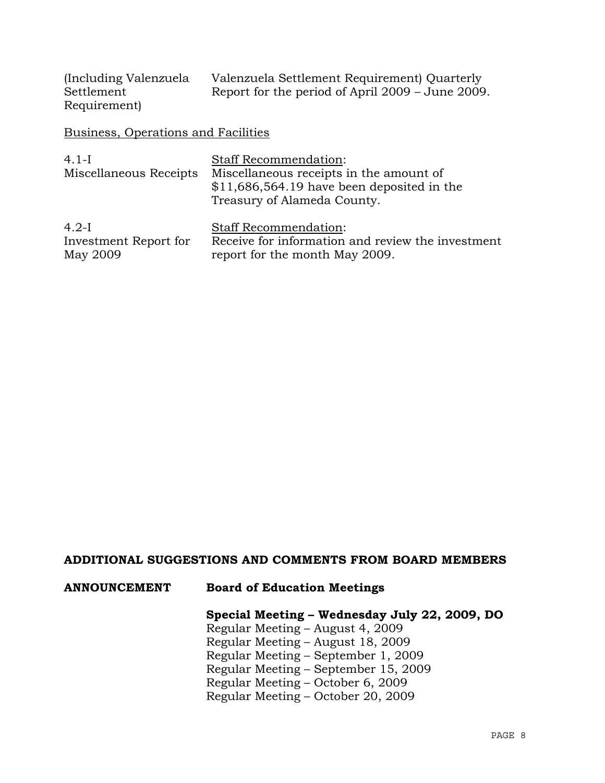| (Including Valenzuela) | Valenzuela Settlement Requirement) Quarterly     |
|------------------------|--------------------------------------------------|
| Settlement             | Report for the period of April 2009 – June 2009. |
| Requirement)           |                                                  |

Business, Operations and Facilities

| $4.1-I$<br>Miscellaneous Receipts | <b>Staff Recommendation:</b><br>Miscellaneous receipts in the amount of<br>$$11,686,564.19$ have been deposited in the<br>Treasury of Alameda County. |
|-----------------------------------|-------------------------------------------------------------------------------------------------------------------------------------------------------|
| $4.2-I$                           | <b>Staff Recommendation:</b>                                                                                                                          |
| Investment Report for             | Receive for information and review the investment                                                                                                     |
| May 2009                          | report for the month May 2009.                                                                                                                        |

## **ADDITIONAL SUGGESTIONS AND COMMENTS FROM BOARD MEMBERS**

# **ANNOUNCEMENT Board of Education Meetings**

# **Special Meeting – Wednesday July 22, 2009, DO**

Regular Meeting – August 4, 2009 Regular Meeting – August 18, 2009 Regular Meeting – September 1, 2009 Regular Meeting – September 15, 2009 Regular Meeting – October 6, 2009 Regular Meeting – October 20, 2009